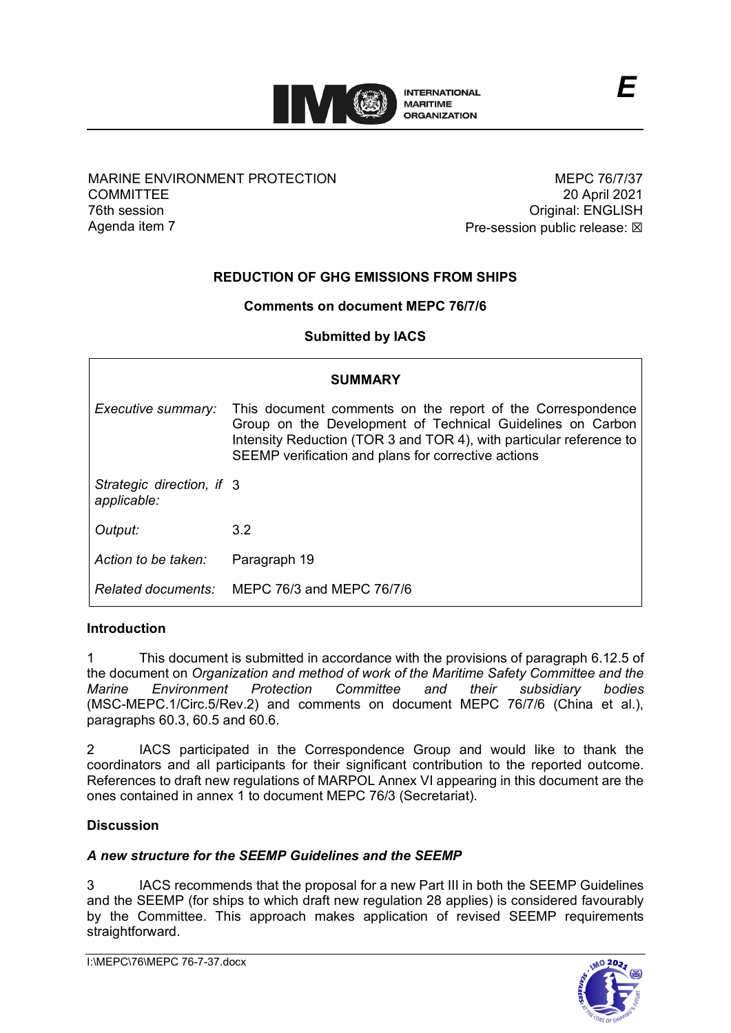

#### MARINE ENVIRONMENT PROTECTION **COMMITTEE** 76th session Agenda item 7

MEPC 76/7/37 20 April 2021 Original: ENGLISH Pre-session public release:  $\boxtimes$ 

*E*

# **REDUCTION OF GHG EMISSIONS FROM SHIPS**

#### **Comments on document MEPC 76/7/6**

**Submitted by IACS**

| <b>SUMMARY</b>                           |                                                                                                                                                                                                                                                        |
|------------------------------------------|--------------------------------------------------------------------------------------------------------------------------------------------------------------------------------------------------------------------------------------------------------|
| Executive summary:                       | This document comments on the report of the Correspondence<br>Group on the Development of Technical Guidelines on Carbon<br>Intensity Reduction (TOR 3 and TOR 4), with particular reference to<br>SEEMP verification and plans for corrective actions |
| Strategic direction, if 3<br>applicable: |                                                                                                                                                                                                                                                        |
| Output:                                  | $3.2^{\circ}$                                                                                                                                                                                                                                          |
| Action to be taken:                      | Paragraph 19                                                                                                                                                                                                                                           |
|                                          | Related documents: MEPC 76/3 and MEPC 76/7/6                                                                                                                                                                                                           |

### **Introduction**

1 This document is submitted in accordance with the provisions of paragraph 6.12.5 of the document on *Organization and method of work of the Maritime Safety Committee and the Marine Environment Protection Committee and their subsidiary bodies* (MSC-MEPC.1/Circ.5/Rev.2) and comments on document MEPC 76/7/6 (China et al.), paragraphs 60.3, 60.5 and 60.6.

2 IACS participated in the Correspondence Group and would like to thank the coordinators and all participants for their significant contribution to the reported outcome. References to draft new regulations of MARPOL Annex VI appearing in this document are the ones contained in annex 1 to document MEPC 76/3 (Secretariat).

#### **Discussion**

#### *A new structure for the SEEMP Guidelines and the SEEMP*

3 IACS recommends that the proposal for a new Part III in both the SEEMP Guidelines and the SEEMP (for ships to which draft new regulation 28 applies) is considered favourably by the Committee. This approach makes application of revised SEEMP requirements straightforward.

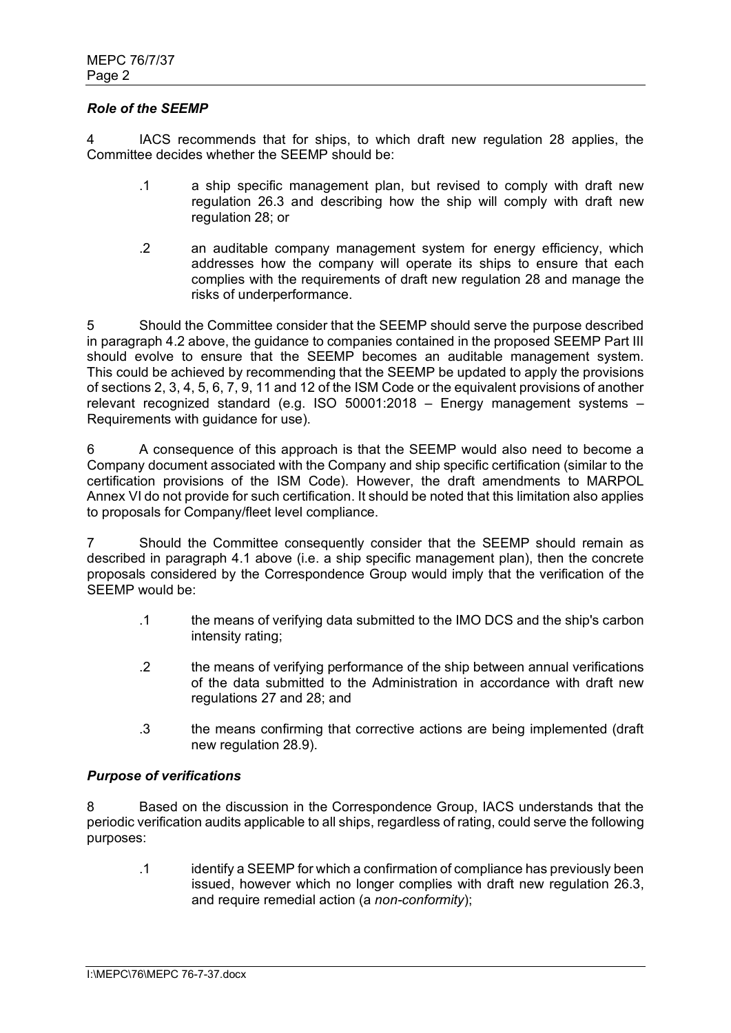#### *Role of the SEEMP*

4 IACS recommends that for ships, to which draft new regulation 28 applies, the Committee decides whether the SEEMP should be:

- .1 a ship specific management plan, but revised to comply with draft new regulation 26.3 and describing how the ship will comply with draft new regulation 28; or
- .2 an auditable company management system for energy efficiency, which addresses how the company will operate its ships to ensure that each complies with the requirements of draft new regulation 28 and manage the risks of underperformance.

5 Should the Committee consider that the SEEMP should serve the purpose described in paragraph 4.2 above, the guidance to companies contained in the proposed SEEMP Part III should evolve to ensure that the SEEMP becomes an auditable management system. This could be achieved by recommending that the SEEMP be updated to apply the provisions of sections 2, 3, 4, 5, 6, 7, 9, 11 and 12 of the ISM Code or the equivalent provisions of another relevant recognized standard (e.g. ISO 50001:2018 – Energy management systems – Requirements with guidance for use).

6 A consequence of this approach is that the SEEMP would also need to become a Company document associated with the Company and ship specific certification (similar to the certification provisions of the ISM Code). However, the draft amendments to MARPOL Annex VI do not provide for such certification. It should be noted that this limitation also applies to proposals for Company/fleet level compliance.

7 Should the Committee consequently consider that the SEEMP should remain as described in paragraph 4.1 above (i.e. a ship specific management plan), then the concrete proposals considered by the Correspondence Group would imply that the verification of the SEEMP would be:

- .1 the means of verifying data submitted to the IMO DCS and the ship's carbon intensity rating;
- .2 the means of verifying performance of the ship between annual verifications of the data submitted to the Administration in accordance with draft new regulations 27 and 28; and
- .3 the means confirming that corrective actions are being implemented (draft new regulation 28.9).

#### *Purpose of verifications*

8 Based on the discussion in the Correspondence Group, IACS understands that the periodic verification audits applicable to all ships, regardless of rating, could serve the following purposes:

.1 identify a SEEMP for which a confirmation of compliance has previously been issued, however which no longer complies with draft new regulation 26.3, and require remedial action (a *non-conformity*);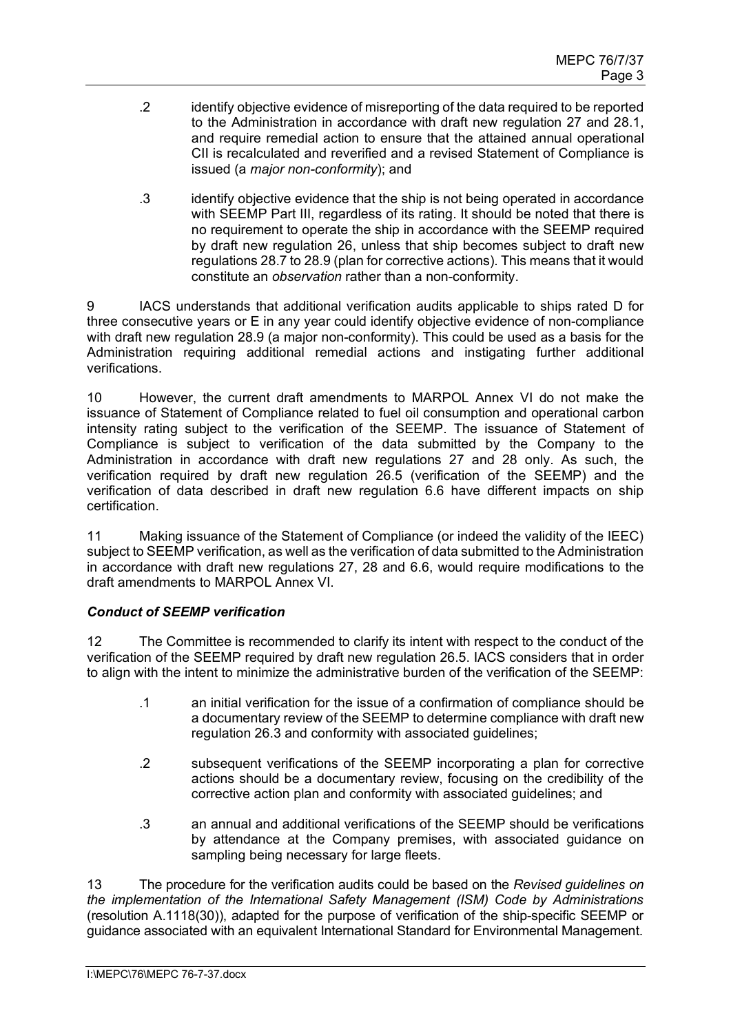- .2 identify objective evidence of misreporting of the data required to be reported to the Administration in accordance with draft new regulation 27 and 28.1, and require remedial action to ensure that the attained annual operational CII is recalculated and reverified and a revised Statement of Compliance is issued (a *major non-conformity*); and
- .3 identify objective evidence that the ship is not being operated in accordance with SEEMP Part III, regardless of its rating. It should be noted that there is no requirement to operate the ship in accordance with the SEEMP required by draft new regulation 26, unless that ship becomes subject to draft new regulations 28.7 to 28.9 (plan for corrective actions). This means that it would constitute an *observation* rather than a non-conformity.

9 IACS understands that additional verification audits applicable to ships rated D for three consecutive years or E in any year could identify objective evidence of non-compliance with draft new regulation 28.9 (a major non-conformity). This could be used as a basis for the Administration requiring additional remedial actions and instigating further additional verifications.

10 However, the current draft amendments to MARPOL Annex VI do not make the issuance of Statement of Compliance related to fuel oil consumption and operational carbon intensity rating subject to the verification of the SEEMP. The issuance of Statement of Compliance is subject to verification of the data submitted by the Company to the Administration in accordance with draft new regulations 27 and 28 only. As such, the verification required by draft new regulation 26.5 (verification of the SEEMP) and the verification of data described in draft new regulation 6.6 have different impacts on ship certification.

11 Making issuance of the Statement of Compliance (or indeed the validity of the IEEC) subject to SEEMP verification, as well as the verification of data submitted to the Administration in accordance with draft new regulations 27, 28 and 6.6, would require modifications to the draft amendments to MARPOL Annex VI.

## *Conduct of SEEMP verification*

12 The Committee is recommended to clarify its intent with respect to the conduct of the verification of the SEEMP required by draft new regulation 26.5. IACS considers that in order to align with the intent to minimize the administrative burden of the verification of the SEEMP:

- .1 an initial verification for the issue of a confirmation of compliance should be a documentary review of the SEEMP to determine compliance with draft new regulation 26.3 and conformity with associated guidelines;
- .2 subsequent verifications of the SEEMP incorporating a plan for corrective actions should be a documentary review, focusing on the credibility of the corrective action plan and conformity with associated guidelines; and
- .3 an annual and additional verifications of the SEEMP should be verifications by attendance at the Company premises, with associated guidance on sampling being necessary for large fleets.

13 The procedure for the verification audits could be based on the *Revised guidelines on the implementation of the International Safety Management (ISM) Code by Administrations* (resolution A.1118(30)), adapted for the purpose of verification of the ship-specific SEEMP or guidance associated with an equivalent International Standard for Environmental Management.